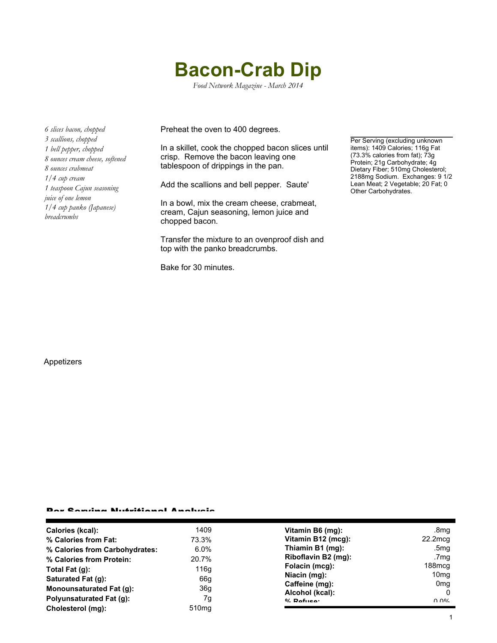# **Bacon-Crab Dip**

*Food Network Magazine - March 2014*

*6 slices bacon, chopped 3 scallions, chopped 1 bell pepper, chopped 8 ounces cream cheese, softened 8 ounces crabmeat 1/4 cup cream 1 teaspoon Cajun seasoning juice of one lemon 1/4 cup panko (Japanese) breadcrumbs*

Preheat the oven to 400 degrees.

In a skillet, cook the chopped bacon slices until crisp. Remove the bacon leaving one tablespoon of drippings in the pan.

Add the scallions and bell pepper. Saute'

In a bowl, mix the cream cheese, crabmeat, cream, Cajun seasoning, lemon juice and chopped bacon.

Transfer the mixture to an ovenproof dish and top with the panko breadcrumbs.

Bake for 30 minutes.

Per Serving (excluding unknown items): 1409 Calories; 116g Fat (73.3% calories from fat); 73g Protein; 21g Carbohydrate; 4g Dietary Fiber; 510mg Cholesterol; 2188mg Sodium. Exchanges: 9 1/2 Lean Meat; 2 Vegetable; 20 Fat; 0 Other Carbohydrates.

### Appetizers

#### Per Serving Nutritional Analysis

| Calories (kcal):               | 1409              | Vitamin B6 (mg):    | .8mg               |
|--------------------------------|-------------------|---------------------|--------------------|
| % Calories from Fat:           | 73.3%             | Vitamin B12 (mcg):  | $22.2$ mcg         |
| % Calories from Carbohydrates: | $6.0\%$           | Thiamin B1 (mg):    | .5mg               |
| % Calories from Protein:       | 20.7%             | Riboflavin B2 (mg): | .7mg               |
| Total Fat $(q)$ :              | 116g              | Folacin (mcg):      | 188 <sub>mcq</sub> |
| Saturated Fat (g):             | 66g               | Niacin (mg):        | 10 <sub>mq</sub>   |
|                                |                   | Caffeine (mg):      | 0 <sub>mq</sub>    |
| Monounsaturated Fat (g):       | 36 <sub>g</sub>   | Alcohol (kcal):     | 0                  |
| Polyunsaturated Fat (q):       | 7g                | $0/2$ Pofileon      | በ በ%               |
| Cholesterol (mg):              | 510 <sub>mg</sub> |                     |                    |